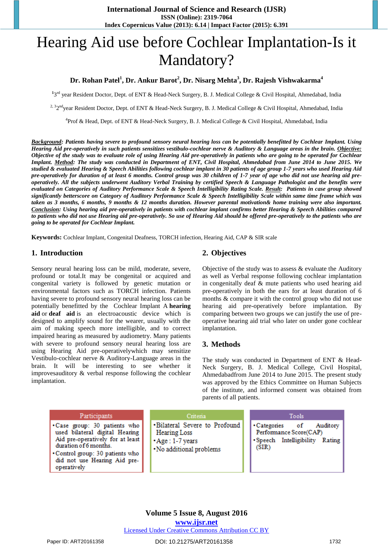# Hearing Aid use before Cochlear Implantation-Is it Mandatory?

# **Dr. Rohan Patel<sup>1</sup> , Dr. Ankur Barot<sup>2</sup> , Dr. Nisarg Mehta<sup>3</sup> , Dr. Rajesh Vishwakarma<sup>4</sup>**

**1** 3rd year Resident Doctor, Dept. of ENT & Head-Neck Surgery, B. J. Medical College & Civil Hospital, Ahmedabad, India

<sup>2, 3</sup>2<sup>nd</sup>year Resident Doctor, Dept. of ENT & Head-Neck Surgery, B. J. Medical College & Civil Hospital, Ahmedabad, India

4 Prof & Head, Dept. of ENT & Head-Neck Surgery, B. J. Medical College & Civil Hospital, Ahmedabad, India

*Background: Patients having severe to profound sensory neural hearing loss can be potentially benefitted by Cochlear Implant. Using Hearing Aid pre-operatively in such patients sensitizes vestibulo-cochlear nerve & Auditory & Language areas in the brain. Objective: Objective of the study was to evaluate role of using Hearing Aid pre-operatively in patients who are going to be operated for Cochlear Implant. Method: The study was conducted in Department of ENT, Civil Hospital, Ahmedabad from June 2014 to June 2015. We studied & evaluated Hearing & Speech Abilities following cochlear implant in 30 patients of age group 1-7 years who used Hearing Aid pre-operatively for duration of at least 6 months. Control group was 30 children of 1-7 year of age who did not use hearing aid preoperatively. All the subjects underwent Auditory Verbal Training by certified Speech & Language Pathologist and the benefits were evaluated on Categories of Auditory Performance Scale & Speech Intelligibility Rating Scale. Result: Patients in case group showed significantly betterscore on Category of Auditory Performance Scale & Speech Intelligibility Scale within same time frame which was taken as 3 months, 6 months, 9 months & 12 months duration. However parental motivation& home training were also important. Conclusion: Using hearing aid pre-operatively in patients with cochlear implant confirms better Hearing & Speech Abilities compared to patients who did not use Hearing aid pre-operatively. So use of Hearing Aid should be offered pre-operatively to the patients who are going to be operated for Cochlear Implant.* 

**Keywords:** Cochlear Implant, Congenital Deafness, TORCH infection, Hearing Aid, CAP & SIR scale

#### **1. Introduction**

Sensory neural hearing loss can be mild, moderate, severe, profound or total.It may be congenital or acquired and congenital variety is followed by genetic mutation or environmental factors such as TORCH infection. Patients having severe to profound sensory neural hearing loss can be potentially benefitted by the Cochlear Implant A **hearing aid** or **deaf aid** is an electroacoustic device which is designed to amplify sound for the wearer, usually with the aim of making speech more intelligible, and to correct impaired hearing as measured by audiometry. Many patients with severe to profound sensory neural hearing loss are using Hearing Aid pre-operativelywhich may sensitize Vestibulo-cochlear nerve & Auditory-Language areas in the brain. It will be interesting to see whether it improvesauditory & verbal response following the cochlear implantation.

# **2. Objectives**

Objective of the study was to assess & evaluate the Auditory as well as Verbal response following cochlear implantation in congenitally deaf & mute patients who used hearing aid pre-operatively in both the ears for at least duration of 6 months & compare it with the control group who did not use hearing aid pre-operatively before implantation. By comparing between two groups we can justify the use of preoperative hearing aid trial who later on under gone cochlear implantation.

#### **3. Methods**

The study was conducted in Department of ENT & Head-Neck Surgery, B. J. Medical College, Civil Hospital, Ahmedabadfrom June 2014 to June 2015. The present study was approved by the Ethics Committee on Human Subjects of the institute, and informed consent was obtained from parents of all patients.

#### Participants

- .Case group: 30 patients who used bilateral digital Hearing Aid pre-operatively for at least duration of 6 months.
- Control group: 30 patients who did not use Hearing Aid preoperatively

Criteria

- ·Bilateral Severe to Profound
- **Hearing Loss**
- \*Age: 1-7 years
- · No additional problems

Tools · Categories Auditory of Performance Score(CAP) ·Speech Intelligibility Rating  $(SIR)$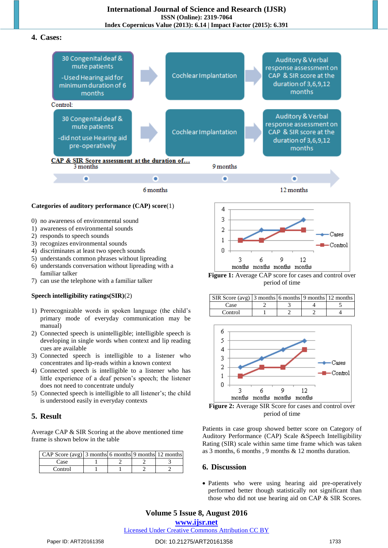**4. Cases:** 



**Categories of auditory performance (CAP) score**(1)

- 0) no awareness of environmental sound
- 1) awareness of environmental sounds
- 2) responds to speech sounds
- 3) recognizes environmental sounds
- 4) discriminates at least two speech sounds
- 5) understands common phrases without lipreading
- 6) understands conversation without lipreading with a familiar talker
- 7) can use the telephone with a familiar talker

#### **Speech intelligibility ratings(SIR)**(2)

- 1) Prerecognizable words in spoken language (the child's primary mode of everyday communication may be manual)
- 2) Connected speech is unintelligible; intelligible speech is developing in single words when context and lip reading cues are available
- 3) Connected speech is intelligible to a listener who concentrates and lip-reads within a known context
- 4) Connected speech is intelligible to a listener who has little experience of a deaf person's speech; the listener does not need to concentrate unduly
- 5) Connected speech is intelligible to all listener's; the child is understood easily in everyday contexts

## **5. Result**

Average CAP & SIR Scoring at the above mentioned time frame is shown below in the table

| CAP Score $(avg)$ 3 months 6 months 9 months 12 months |  |  |
|--------------------------------------------------------|--|--|
| Case                                                   |  |  |
| Control                                                |  |  |



**Figure 1:** Average CAP score for cases and control over period of time

| SIR Score (avg) 3 months 6 months 9 months 12 months |  |  |
|------------------------------------------------------|--|--|
| Case                                                 |  |  |
| Control                                              |  |  |



**Figure 2:** Average SIR Score for cases and control over period of time

Patients in case group showed better score on Category of Auditory Performance (CAP) Scale &Speech Intelligibility Rating (SIR) scale within same time frame which was taken as 3 months, 6 months , 9 months & 12 months duration.

## **6. Discussion**

 Patients who were using hearing aid pre-operatively performed better though statistically not significant than those who did not use hearing aid on CAP & SIR Scores.

# **Volume 5 Issue 8, August 2016**

**www.ijsr.net**

Licensed Under Creative Commons Attribution CC BY